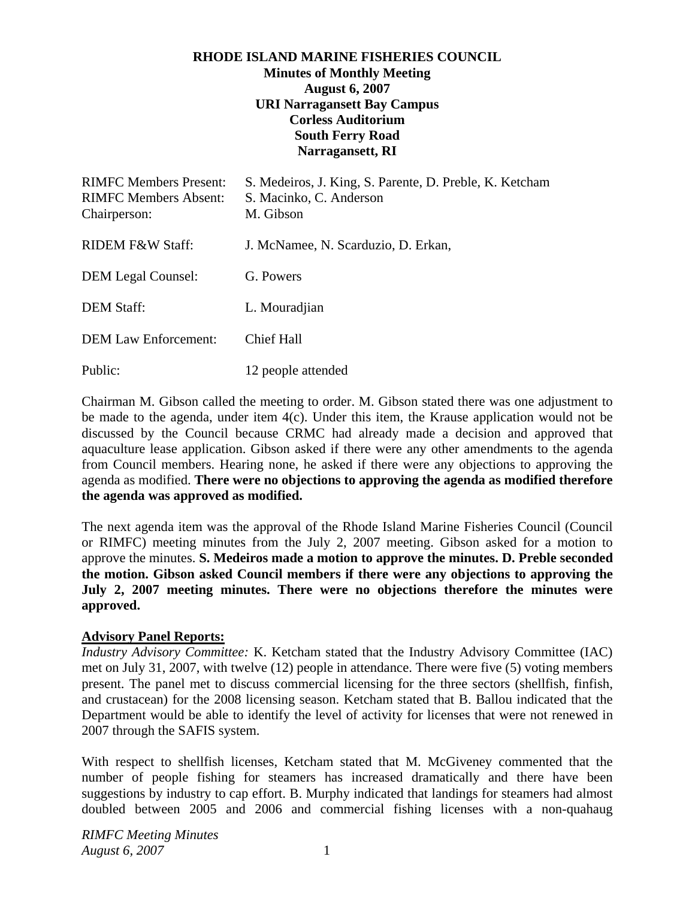### **RHODE ISLAND MARINE FISHERIES COUNCIL Minutes of Monthly Meeting August 6, 2007 URI Narragansett Bay Campus Corless Auditorium South Ferry Road Narragansett, RI**

| <b>RIMFC Members Present:</b><br><b>RIMFC Members Absent:</b><br>Chairperson: | S. Medeiros, J. King, S. Parente, D. Preble, K. Ketcham<br>S. Macinko, C. Anderson<br>M. Gibson |
|-------------------------------------------------------------------------------|-------------------------------------------------------------------------------------------------|
| <b>RIDEM F&amp;W Staff:</b>                                                   | J. McNamee, N. Scarduzio, D. Erkan,                                                             |
| <b>DEM Legal Counsel:</b>                                                     | G. Powers                                                                                       |
| <b>DEM Staff:</b>                                                             | L. Mouradjian                                                                                   |
| <b>DEM Law Enforcement:</b>                                                   | <b>Chief Hall</b>                                                                               |
| Public:                                                                       | 12 people attended                                                                              |

Chairman M. Gibson called the meeting to order. M. Gibson stated there was one adjustment to be made to the agenda, under item 4(c). Under this item, the Krause application would not be discussed by the Council because CRMC had already made a decision and approved that aquaculture lease application. Gibson asked if there were any other amendments to the agenda from Council members. Hearing none, he asked if there were any objections to approving the agenda as modified. **There were no objections to approving the agenda as modified therefore the agenda was approved as modified.** 

The next agenda item was the approval of the Rhode Island Marine Fisheries Council (Council or RIMFC) meeting minutes from the July 2, 2007 meeting. Gibson asked for a motion to approve the minutes. **S. Medeiros made a motion to approve the minutes. D. Preble seconded the motion. Gibson asked Council members if there were any objections to approving the July 2, 2007 meeting minutes. There were no objections therefore the minutes were approved.** 

#### **Advisory Panel Reports:**

*Industry Advisory Committee:* K. Ketcham stated that the Industry Advisory Committee (IAC) met on July 31, 2007, with twelve (12) people in attendance. There were five (5) voting members present. The panel met to discuss commercial licensing for the three sectors (shellfish, finfish, and crustacean) for the 2008 licensing season. Ketcham stated that B. Ballou indicated that the Department would be able to identify the level of activity for licenses that were not renewed in 2007 through the SAFIS system.

With respect to shellfish licenses, Ketcham stated that M. McGiveney commented that the number of people fishing for steamers has increased dramatically and there have been suggestions by industry to cap effort. B. Murphy indicated that landings for steamers had almost doubled between 2005 and 2006 and commercial fishing licenses with a non-quahaug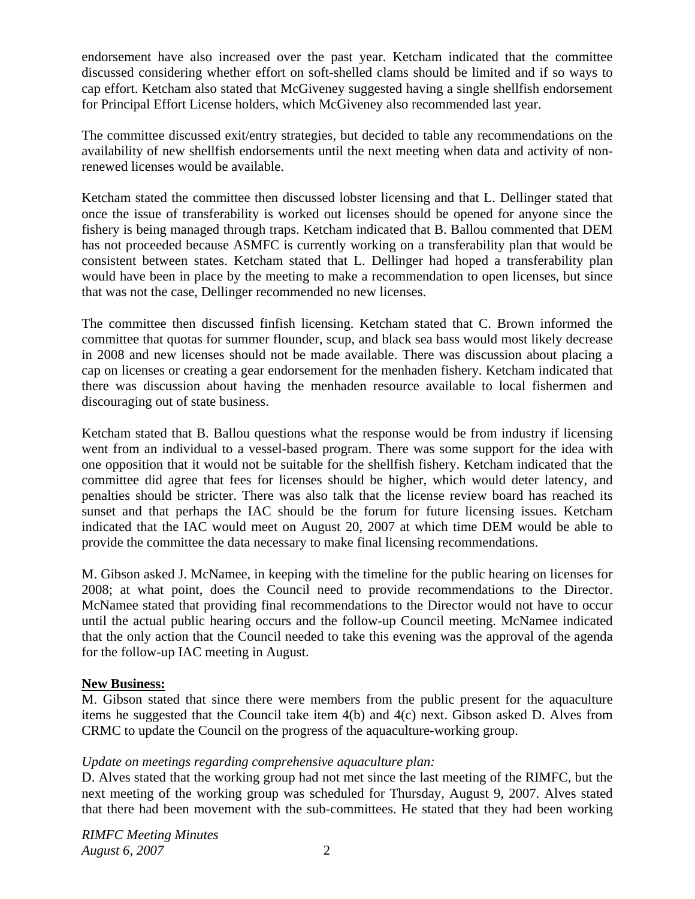endorsement have also increased over the past year. Ketcham indicated that the committee discussed considering whether effort on soft-shelled clams should be limited and if so ways to cap effort. Ketcham also stated that McGiveney suggested having a single shellfish endorsement for Principal Effort License holders, which McGiveney also recommended last year.

The committee discussed exit/entry strategies, but decided to table any recommendations on the availability of new shellfish endorsements until the next meeting when data and activity of nonrenewed licenses would be available.

Ketcham stated the committee then discussed lobster licensing and that L. Dellinger stated that once the issue of transferability is worked out licenses should be opened for anyone since the fishery is being managed through traps. Ketcham indicated that B. Ballou commented that DEM has not proceeded because ASMFC is currently working on a transferability plan that would be consistent between states. Ketcham stated that L. Dellinger had hoped a transferability plan would have been in place by the meeting to make a recommendation to open licenses, but since that was not the case, Dellinger recommended no new licenses.

The committee then discussed finfish licensing. Ketcham stated that C. Brown informed the committee that quotas for summer flounder, scup, and black sea bass would most likely decrease in 2008 and new licenses should not be made available. There was discussion about placing a cap on licenses or creating a gear endorsement for the menhaden fishery. Ketcham indicated that there was discussion about having the menhaden resource available to local fishermen and discouraging out of state business.

Ketcham stated that B. Ballou questions what the response would be from industry if licensing went from an individual to a vessel-based program. There was some support for the idea with one opposition that it would not be suitable for the shellfish fishery. Ketcham indicated that the committee did agree that fees for licenses should be higher, which would deter latency, and penalties should be stricter. There was also talk that the license review board has reached its sunset and that perhaps the IAC should be the forum for future licensing issues. Ketcham indicated that the IAC would meet on August 20, 2007 at which time DEM would be able to provide the committee the data necessary to make final licensing recommendations.

M. Gibson asked J. McNamee, in keeping with the timeline for the public hearing on licenses for 2008; at what point, does the Council need to provide recommendations to the Director. McNamee stated that providing final recommendations to the Director would not have to occur until the actual public hearing occurs and the follow-up Council meeting. McNamee indicated that the only action that the Council needed to take this evening was the approval of the agenda for the follow-up IAC meeting in August.

## **New Business:**

M. Gibson stated that since there were members from the public present for the aquaculture items he suggested that the Council take item 4(b) and 4(c) next. Gibson asked D. Alves from CRMC to update the Council on the progress of the aquaculture-working group.

# *Update on meetings regarding comprehensive aquaculture plan:*

D. Alves stated that the working group had not met since the last meeting of the RIMFC, but the next meeting of the working group was scheduled for Thursday, August 9, 2007. Alves stated that there had been movement with the sub-committees. He stated that they had been working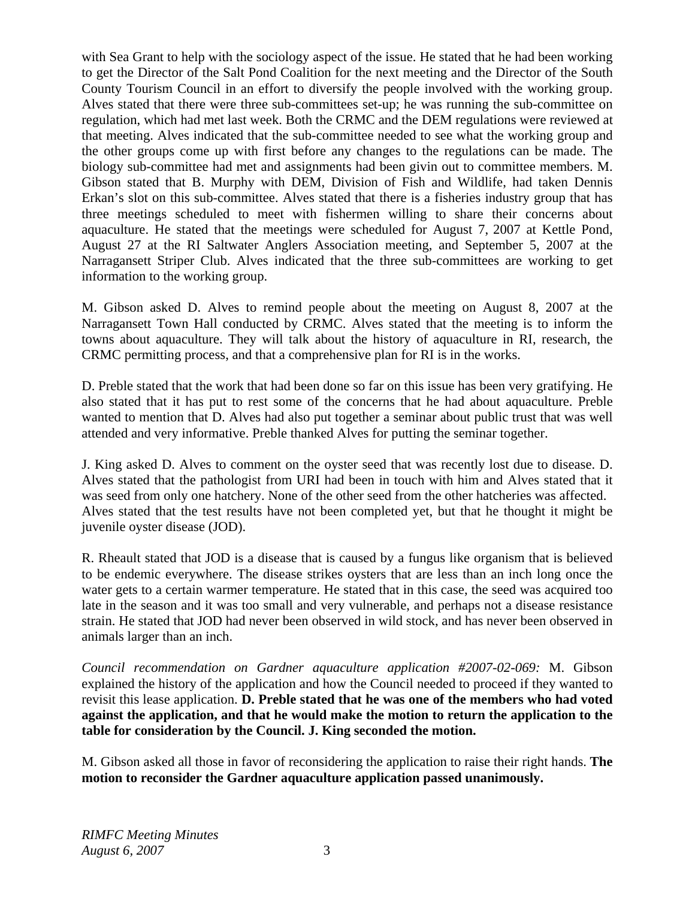with Sea Grant to help with the sociology aspect of the issue. He stated that he had been working to get the Director of the Salt Pond Coalition for the next meeting and the Director of the South County Tourism Council in an effort to diversify the people involved with the working group. Alves stated that there were three sub-committees set-up; he was running the sub-committee on regulation, which had met last week. Both the CRMC and the DEM regulations were reviewed at that meeting. Alves indicated that the sub-committee needed to see what the working group and the other groups come up with first before any changes to the regulations can be made. The biology sub-committee had met and assignments had been givin out to committee members. M. Gibson stated that B. Murphy with DEM, Division of Fish and Wildlife, had taken Dennis Erkan's slot on this sub-committee. Alves stated that there is a fisheries industry group that has three meetings scheduled to meet with fishermen willing to share their concerns about aquaculture. He stated that the meetings were scheduled for August 7, 2007 at Kettle Pond, August 27 at the RI Saltwater Anglers Association meeting, and September 5, 2007 at the Narragansett Striper Club. Alves indicated that the three sub-committees are working to get information to the working group.

M. Gibson asked D. Alves to remind people about the meeting on August 8, 2007 at the Narragansett Town Hall conducted by CRMC. Alves stated that the meeting is to inform the towns about aquaculture. They will talk about the history of aquaculture in RI, research, the CRMC permitting process, and that a comprehensive plan for RI is in the works.

D. Preble stated that the work that had been done so far on this issue has been very gratifying. He also stated that it has put to rest some of the concerns that he had about aquaculture. Preble wanted to mention that D. Alves had also put together a seminar about public trust that was well attended and very informative. Preble thanked Alves for putting the seminar together.

J. King asked D. Alves to comment on the oyster seed that was recently lost due to disease. D. Alves stated that the pathologist from URI had been in touch with him and Alves stated that it was seed from only one hatchery. None of the other seed from the other hatcheries was affected. Alves stated that the test results have not been completed yet, but that he thought it might be juvenile oyster disease (JOD).

R. Rheault stated that JOD is a disease that is caused by a fungus like organism that is believed to be endemic everywhere. The disease strikes oysters that are less than an inch long once the water gets to a certain warmer temperature. He stated that in this case, the seed was acquired too late in the season and it was too small and very vulnerable, and perhaps not a disease resistance strain. He stated that JOD had never been observed in wild stock, and has never been observed in animals larger than an inch.

*Council recommendation on Gardner aquaculture application #2007-02-069:* M. Gibson explained the history of the application and how the Council needed to proceed if they wanted to revisit this lease application. **D. Preble stated that he was one of the members who had voted against the application, and that he would make the motion to return the application to the table for consideration by the Council. J. King seconded the motion.**

M. Gibson asked all those in favor of reconsidering the application to raise their right hands. **The motion to reconsider the Gardner aquaculture application passed unanimously.**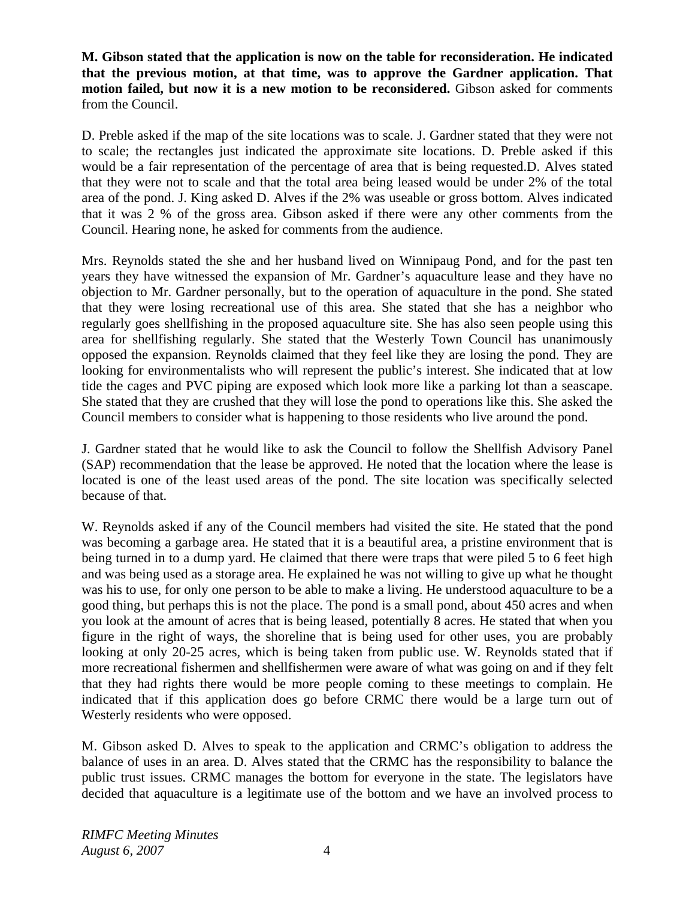**M. Gibson stated that the application is now on the table for reconsideration. He indicated that the previous motion, at that time, was to approve the Gardner application. That motion failed, but now it is a new motion to be reconsidered.** Gibson asked for comments from the Council.

D. Preble asked if the map of the site locations was to scale. J. Gardner stated that they were not to scale; the rectangles just indicated the approximate site locations. D. Preble asked if this would be a fair representation of the percentage of area that is being requested.D. Alves stated that they were not to scale and that the total area being leased would be under 2% of the total area of the pond. J. King asked D. Alves if the 2% was useable or gross bottom. Alves indicated that it was 2 % of the gross area. Gibson asked if there were any other comments from the Council. Hearing none, he asked for comments from the audience.

Mrs. Reynolds stated the she and her husband lived on Winnipaug Pond, and for the past ten years they have witnessed the expansion of Mr. Gardner's aquaculture lease and they have no objection to Mr. Gardner personally, but to the operation of aquaculture in the pond. She stated that they were losing recreational use of this area. She stated that she has a neighbor who regularly goes shellfishing in the proposed aquaculture site. She has also seen people using this area for shellfishing regularly. She stated that the Westerly Town Council has unanimously opposed the expansion. Reynolds claimed that they feel like they are losing the pond. They are looking for environmentalists who will represent the public's interest. She indicated that at low tide the cages and PVC piping are exposed which look more like a parking lot than a seascape. She stated that they are crushed that they will lose the pond to operations like this. She asked the Council members to consider what is happening to those residents who live around the pond.

J. Gardner stated that he would like to ask the Council to follow the Shellfish Advisory Panel (SAP) recommendation that the lease be approved. He noted that the location where the lease is located is one of the least used areas of the pond. The site location was specifically selected because of that.

W. Reynolds asked if any of the Council members had visited the site. He stated that the pond was becoming a garbage area. He stated that it is a beautiful area, a pristine environment that is being turned in to a dump yard. He claimed that there were traps that were piled 5 to 6 feet high and was being used as a storage area. He explained he was not willing to give up what he thought was his to use, for only one person to be able to make a living. He understood aquaculture to be a good thing, but perhaps this is not the place. The pond is a small pond, about 450 acres and when you look at the amount of acres that is being leased, potentially 8 acres. He stated that when you figure in the right of ways, the shoreline that is being used for other uses, you are probably looking at only 20-25 acres, which is being taken from public use. W. Reynolds stated that if more recreational fishermen and shellfishermen were aware of what was going on and if they felt that they had rights there would be more people coming to these meetings to complain. He indicated that if this application does go before CRMC there would be a large turn out of Westerly residents who were opposed.

M. Gibson asked D. Alves to speak to the application and CRMC's obligation to address the balance of uses in an area. D. Alves stated that the CRMC has the responsibility to balance the public trust issues. CRMC manages the bottom for everyone in the state. The legislators have decided that aquaculture is a legitimate use of the bottom and we have an involved process to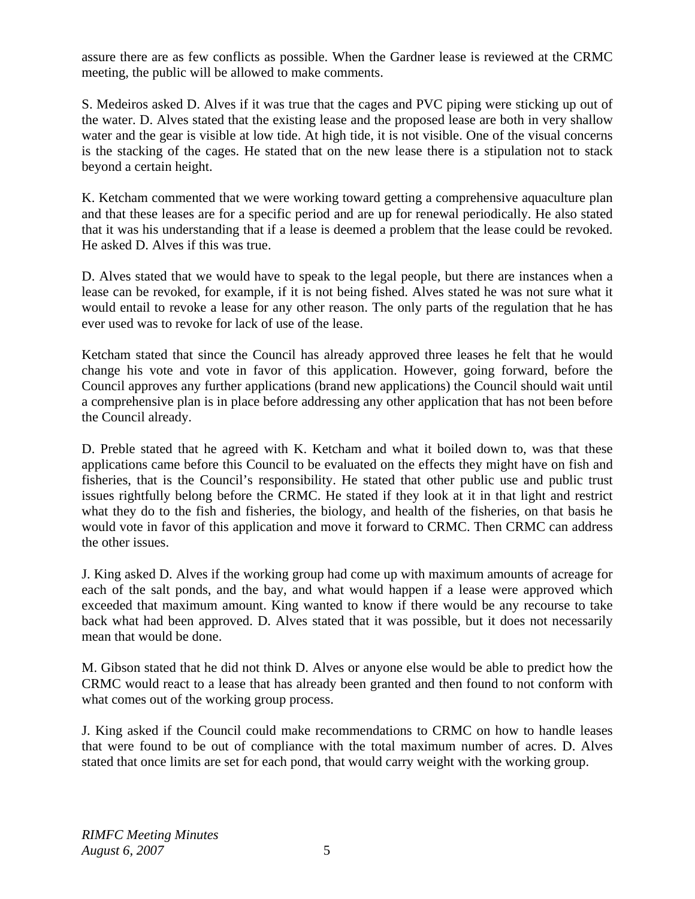assure there are as few conflicts as possible. When the Gardner lease is reviewed at the CRMC meeting, the public will be allowed to make comments.

S. Medeiros asked D. Alves if it was true that the cages and PVC piping were sticking up out of the water. D. Alves stated that the existing lease and the proposed lease are both in very shallow water and the gear is visible at low tide. At high tide, it is not visible. One of the visual concerns is the stacking of the cages. He stated that on the new lease there is a stipulation not to stack beyond a certain height.

K. Ketcham commented that we were working toward getting a comprehensive aquaculture plan and that these leases are for a specific period and are up for renewal periodically. He also stated that it was his understanding that if a lease is deemed a problem that the lease could be revoked. He asked D. Alves if this was true.

D. Alves stated that we would have to speak to the legal people, but there are instances when a lease can be revoked, for example, if it is not being fished. Alves stated he was not sure what it would entail to revoke a lease for any other reason. The only parts of the regulation that he has ever used was to revoke for lack of use of the lease.

Ketcham stated that since the Council has already approved three leases he felt that he would change his vote and vote in favor of this application. However, going forward, before the Council approves any further applications (brand new applications) the Council should wait until a comprehensive plan is in place before addressing any other application that has not been before the Council already.

D. Preble stated that he agreed with K. Ketcham and what it boiled down to, was that these applications came before this Council to be evaluated on the effects they might have on fish and fisheries, that is the Council's responsibility. He stated that other public use and public trust issues rightfully belong before the CRMC. He stated if they look at it in that light and restrict what they do to the fish and fisheries, the biology, and health of the fisheries, on that basis he would vote in favor of this application and move it forward to CRMC. Then CRMC can address the other issues.

J. King asked D. Alves if the working group had come up with maximum amounts of acreage for each of the salt ponds, and the bay, and what would happen if a lease were approved which exceeded that maximum amount. King wanted to know if there would be any recourse to take back what had been approved. D. Alves stated that it was possible, but it does not necessarily mean that would be done.

M. Gibson stated that he did not think D. Alves or anyone else would be able to predict how the CRMC would react to a lease that has already been granted and then found to not conform with what comes out of the working group process.

J. King asked if the Council could make recommendations to CRMC on how to handle leases that were found to be out of compliance with the total maximum number of acres. D. Alves stated that once limits are set for each pond, that would carry weight with the working group.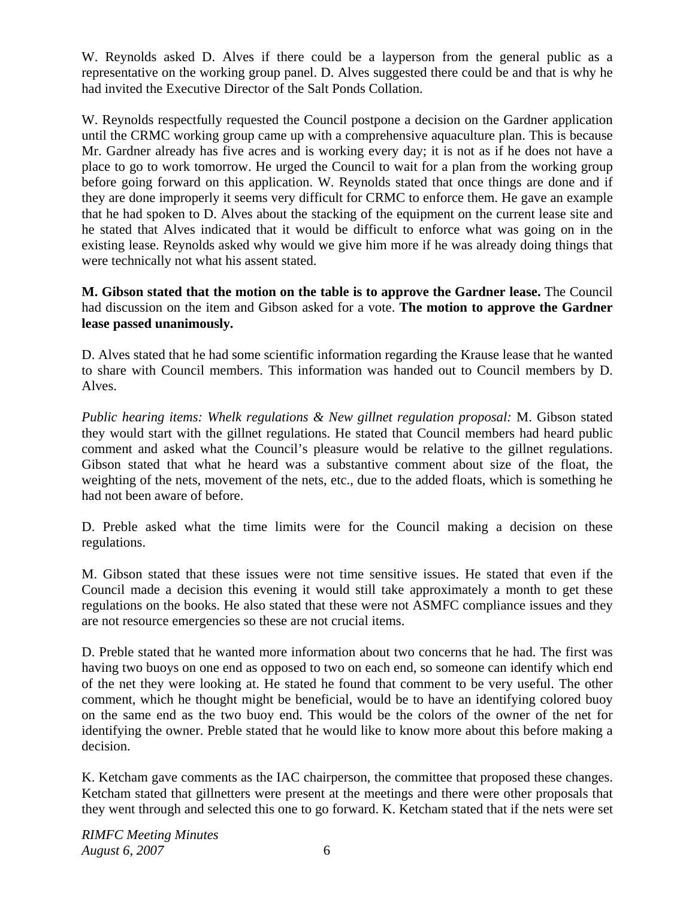W. Reynolds asked D. Alves if there could be a layperson from the general public as a representative on the working group panel. D. Alves suggested there could be and that is why he had invited the Executive Director of the Salt Ponds Collation.

W. Reynolds respectfully requested the Council postpone a decision on the Gardner application until the CRMC working group came up with a comprehensive aquaculture plan. This is because Mr. Gardner already has five acres and is working every day; it is not as if he does not have a place to go to work tomorrow. He urged the Council to wait for a plan from the working group before going forward on this application. W. Reynolds stated that once things are done and if they are done improperly it seems very difficult for CRMC to enforce them. He gave an example that he had spoken to D. Alves about the stacking of the equipment on the current lease site and he stated that Alves indicated that it would be difficult to enforce what was going on in the existing lease. Reynolds asked why would we give him more if he was already doing things that were technically not what his assent stated.

**M. Gibson stated that the motion on the table is to approve the Gardner lease.** The Council had discussion on the item and Gibson asked for a vote. **The motion to approve the Gardner lease passed unanimously.** 

D. Alves stated that he had some scientific information regarding the Krause lease that he wanted to share with Council members. This information was handed out to Council members by D. Alves.

*Public hearing items: Whelk regulations & New gillnet regulation proposal:* M. Gibson stated they would start with the gillnet regulations. He stated that Council members had heard public comment and asked what the Council's pleasure would be relative to the gillnet regulations. Gibson stated that what he heard was a substantive comment about size of the float, the weighting of the nets, movement of the nets, etc., due to the added floats, which is something he had not been aware of before.

D. Preble asked what the time limits were for the Council making a decision on these regulations.

M. Gibson stated that these issues were not time sensitive issues. He stated that even if the Council made a decision this evening it would still take approximately a month to get these regulations on the books. He also stated that these were not ASMFC compliance issues and they are not resource emergencies so these are not crucial items.

D. Preble stated that he wanted more information about two concerns that he had. The first was having two buoys on one end as opposed to two on each end, so someone can identify which end of the net they were looking at. He stated he found that comment to be very useful. The other comment, which he thought might be beneficial, would be to have an identifying colored buoy on the same end as the two buoy end. This would be the colors of the owner of the net for identifying the owner. Preble stated that he would like to know more about this before making a decision.

K. Ketcham gave comments as the IAC chairperson, the committee that proposed these changes. Ketcham stated that gillnetters were present at the meetings and there were other proposals that they went through and selected this one to go forward. K. Ketcham stated that if the nets were set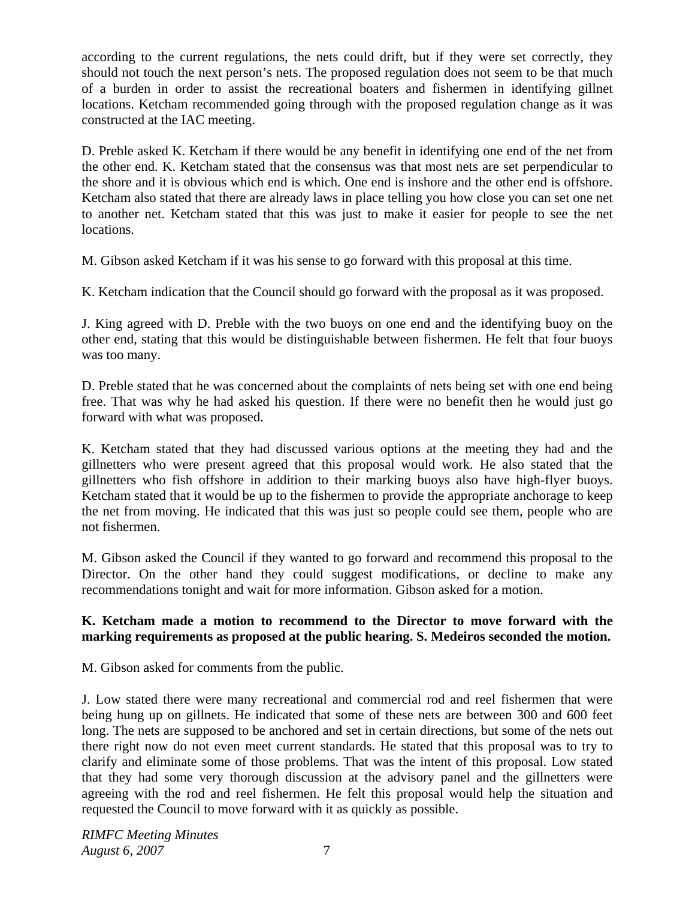according to the current regulations, the nets could drift, but if they were set correctly, they should not touch the next person's nets. The proposed regulation does not seem to be that much of a burden in order to assist the recreational boaters and fishermen in identifying gillnet locations. Ketcham recommended going through with the proposed regulation change as it was constructed at the IAC meeting.

D. Preble asked K. Ketcham if there would be any benefit in identifying one end of the net from the other end. K. Ketcham stated that the consensus was that most nets are set perpendicular to the shore and it is obvious which end is which. One end is inshore and the other end is offshore. Ketcham also stated that there are already laws in place telling you how close you can set one net to another net. Ketcham stated that this was just to make it easier for people to see the net locations.

M. Gibson asked Ketcham if it was his sense to go forward with this proposal at this time.

K. Ketcham indication that the Council should go forward with the proposal as it was proposed.

J. King agreed with D. Preble with the two buoys on one end and the identifying buoy on the other end, stating that this would be distinguishable between fishermen. He felt that four buoys was too many.

D. Preble stated that he was concerned about the complaints of nets being set with one end being free. That was why he had asked his question. If there were no benefit then he would just go forward with what was proposed.

K. Ketcham stated that they had discussed various options at the meeting they had and the gillnetters who were present agreed that this proposal would work. He also stated that the gillnetters who fish offshore in addition to their marking buoys also have high-flyer buoys. Ketcham stated that it would be up to the fishermen to provide the appropriate anchorage to keep the net from moving. He indicated that this was just so people could see them, people who are not fishermen.

M. Gibson asked the Council if they wanted to go forward and recommend this proposal to the Director. On the other hand they could suggest modifications, or decline to make any recommendations tonight and wait for more information. Gibson asked for a motion.

## **K. Ketcham made a motion to recommend to the Director to move forward with the marking requirements as proposed at the public hearing. S. Medeiros seconded the motion.**

M. Gibson asked for comments from the public.

J. Low stated there were many recreational and commercial rod and reel fishermen that were being hung up on gillnets. He indicated that some of these nets are between 300 and 600 feet long. The nets are supposed to be anchored and set in certain directions, but some of the nets out there right now do not even meet current standards. He stated that this proposal was to try to clarify and eliminate some of those problems. That was the intent of this proposal. Low stated that they had some very thorough discussion at the advisory panel and the gillnetters were agreeing with the rod and reel fishermen. He felt this proposal would help the situation and requested the Council to move forward with it as quickly as possible.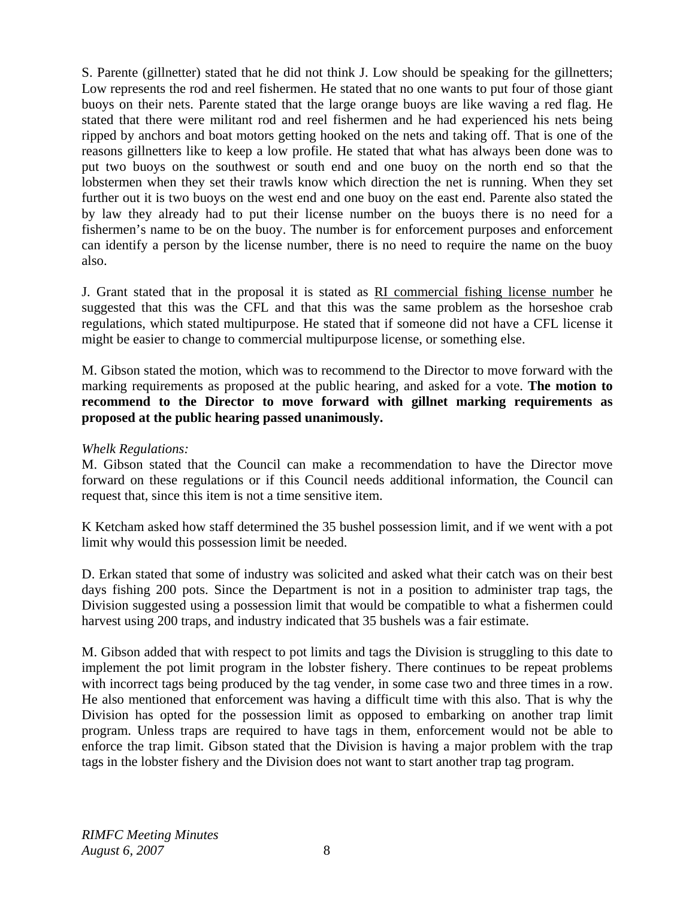S. Parente (gillnetter) stated that he did not think J. Low should be speaking for the gillnetters; Low represents the rod and reel fishermen. He stated that no one wants to put four of those giant buoys on their nets. Parente stated that the large orange buoys are like waving a red flag. He stated that there were militant rod and reel fishermen and he had experienced his nets being ripped by anchors and boat motors getting hooked on the nets and taking off. That is one of the reasons gillnetters like to keep a low profile. He stated that what has always been done was to put two buoys on the southwest or south end and one buoy on the north end so that the lobstermen when they set their trawls know which direction the net is running. When they set further out it is two buoys on the west end and one buoy on the east end. Parente also stated the by law they already had to put their license number on the buoys there is no need for a fishermen's name to be on the buoy. The number is for enforcement purposes and enforcement can identify a person by the license number, there is no need to require the name on the buoy also.

J. Grant stated that in the proposal it is stated as RI commercial fishing license number he suggested that this was the CFL and that this was the same problem as the horseshoe crab regulations, which stated multipurpose. He stated that if someone did not have a CFL license it might be easier to change to commercial multipurpose license, or something else.

M. Gibson stated the motion, which was to recommend to the Director to move forward with the marking requirements as proposed at the public hearing, and asked for a vote. **The motion to recommend to the Director to move forward with gillnet marking requirements as proposed at the public hearing passed unanimously.** 

#### *Whelk Regulations:*

M. Gibson stated that the Council can make a recommendation to have the Director move forward on these regulations or if this Council needs additional information, the Council can request that, since this item is not a time sensitive item.

K Ketcham asked how staff determined the 35 bushel possession limit, and if we went with a pot limit why would this possession limit be needed.

D. Erkan stated that some of industry was solicited and asked what their catch was on their best days fishing 200 pots. Since the Department is not in a position to administer trap tags, the Division suggested using a possession limit that would be compatible to what a fishermen could harvest using 200 traps, and industry indicated that 35 bushels was a fair estimate.

M. Gibson added that with respect to pot limits and tags the Division is struggling to this date to implement the pot limit program in the lobster fishery. There continues to be repeat problems with incorrect tags being produced by the tag vender, in some case two and three times in a row. He also mentioned that enforcement was having a difficult time with this also. That is why the Division has opted for the possession limit as opposed to embarking on another trap limit program. Unless traps are required to have tags in them, enforcement would not be able to enforce the trap limit. Gibson stated that the Division is having a major problem with the trap tags in the lobster fishery and the Division does not want to start another trap tag program.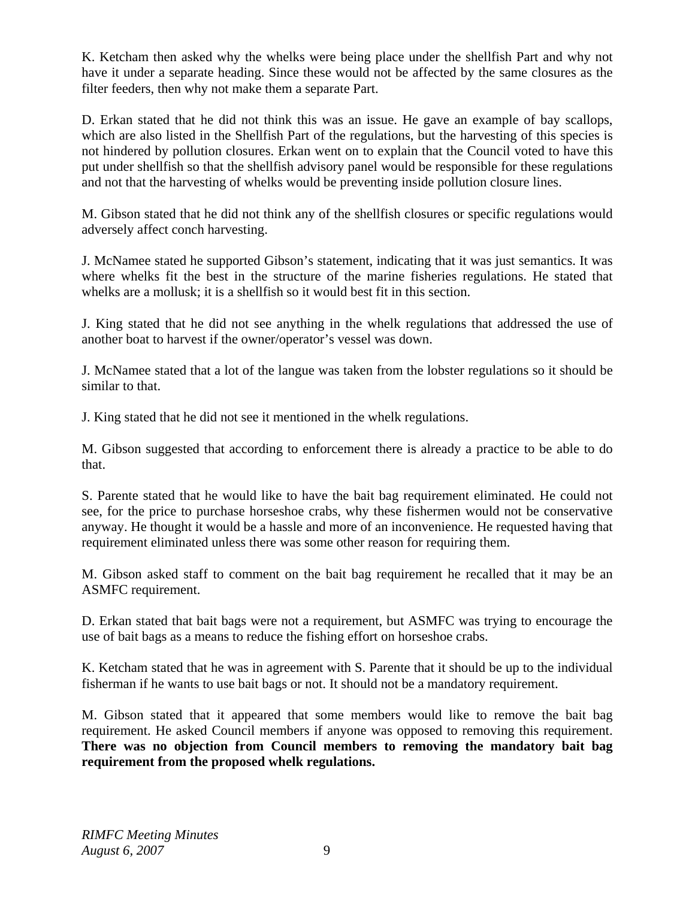K. Ketcham then asked why the whelks were being place under the shellfish Part and why not have it under a separate heading. Since these would not be affected by the same closures as the filter feeders, then why not make them a separate Part.

D. Erkan stated that he did not think this was an issue. He gave an example of bay scallops, which are also listed in the Shellfish Part of the regulations, but the harvesting of this species is not hindered by pollution closures. Erkan went on to explain that the Council voted to have this put under shellfish so that the shellfish advisory panel would be responsible for these regulations and not that the harvesting of whelks would be preventing inside pollution closure lines.

M. Gibson stated that he did not think any of the shellfish closures or specific regulations would adversely affect conch harvesting.

J. McNamee stated he supported Gibson's statement, indicating that it was just semantics. It was where whelks fit the best in the structure of the marine fisheries regulations. He stated that whelks are a mollusk; it is a shellfish so it would best fit in this section.

J. King stated that he did not see anything in the whelk regulations that addressed the use of another boat to harvest if the owner/operator's vessel was down.

J. McNamee stated that a lot of the langue was taken from the lobster regulations so it should be similar to that.

J. King stated that he did not see it mentioned in the whelk regulations.

M. Gibson suggested that according to enforcement there is already a practice to be able to do that.

S. Parente stated that he would like to have the bait bag requirement eliminated. He could not see, for the price to purchase horseshoe crabs, why these fishermen would not be conservative anyway. He thought it would be a hassle and more of an inconvenience. He requested having that requirement eliminated unless there was some other reason for requiring them.

M. Gibson asked staff to comment on the bait bag requirement he recalled that it may be an ASMFC requirement.

D. Erkan stated that bait bags were not a requirement, but ASMFC was trying to encourage the use of bait bags as a means to reduce the fishing effort on horseshoe crabs.

K. Ketcham stated that he was in agreement with S. Parente that it should be up to the individual fisherman if he wants to use bait bags or not. It should not be a mandatory requirement.

M. Gibson stated that it appeared that some members would like to remove the bait bag requirement. He asked Council members if anyone was opposed to removing this requirement. **There was no objection from Council members to removing the mandatory bait bag requirement from the proposed whelk regulations.**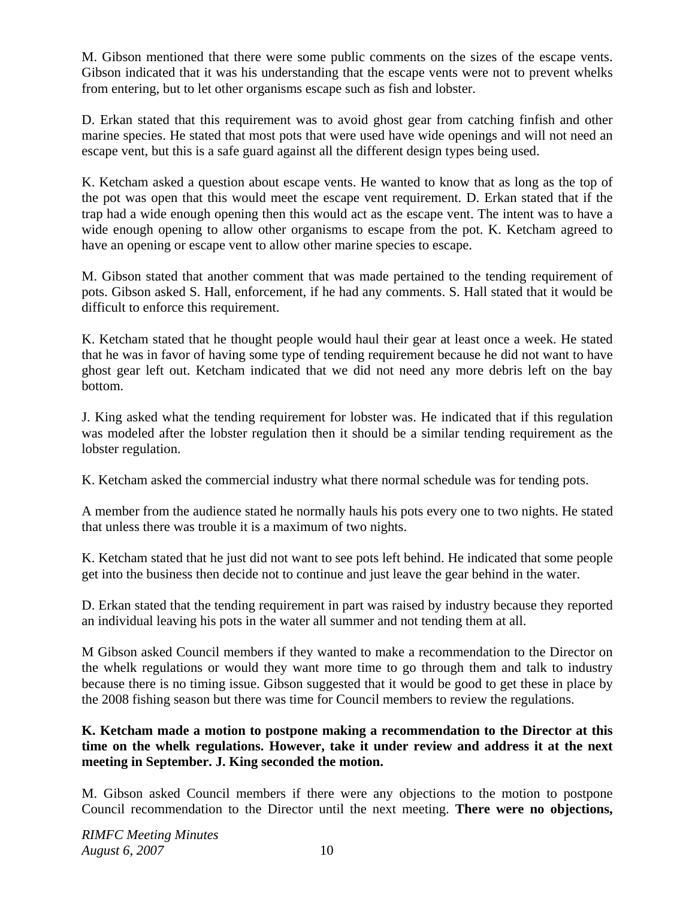M. Gibson mentioned that there were some public comments on the sizes of the escape vents. Gibson indicated that it was his understanding that the escape vents were not to prevent whelks from entering, but to let other organisms escape such as fish and lobster.

D. Erkan stated that this requirement was to avoid ghost gear from catching finfish and other marine species. He stated that most pots that were used have wide openings and will not need an escape vent, but this is a safe guard against all the different design types being used.

K. Ketcham asked a question about escape vents. He wanted to know that as long as the top of the pot was open that this would meet the escape vent requirement. D. Erkan stated that if the trap had a wide enough opening then this would act as the escape vent. The intent was to have a wide enough opening to allow other organisms to escape from the pot. K. Ketcham agreed to have an opening or escape vent to allow other marine species to escape.

M. Gibson stated that another comment that was made pertained to the tending requirement of pots. Gibson asked S. Hall, enforcement, if he had any comments. S. Hall stated that it would be difficult to enforce this requirement.

K. Ketcham stated that he thought people would haul their gear at least once a week. He stated that he was in favor of having some type of tending requirement because he did not want to have ghost gear left out. Ketcham indicated that we did not need any more debris left on the bay bottom.

J. King asked what the tending requirement for lobster was. He indicated that if this regulation was modeled after the lobster regulation then it should be a similar tending requirement as the lobster regulation.

K. Ketcham asked the commercial industry what there normal schedule was for tending pots.

A member from the audience stated he normally hauls his pots every one to two nights. He stated that unless there was trouble it is a maximum of two nights.

K. Ketcham stated that he just did not want to see pots left behind. He indicated that some people get into the business then decide not to continue and just leave the gear behind in the water.

D. Erkan stated that the tending requirement in part was raised by industry because they reported an individual leaving his pots in the water all summer and not tending them at all.

M Gibson asked Council members if they wanted to make a recommendation to the Director on the whelk regulations or would they want more time to go through them and talk to industry because there is no timing issue. Gibson suggested that it would be good to get these in place by the 2008 fishing season but there was time for Council members to review the regulations.

## **K. Ketcham made a motion to postpone making a recommendation to the Director at this time on the whelk regulations. However, take it under review and address it at the next meeting in September. J. King seconded the motion.**

M. Gibson asked Council members if there were any objections to the motion to postpone Council recommendation to the Director until the next meeting. **There were no objections,**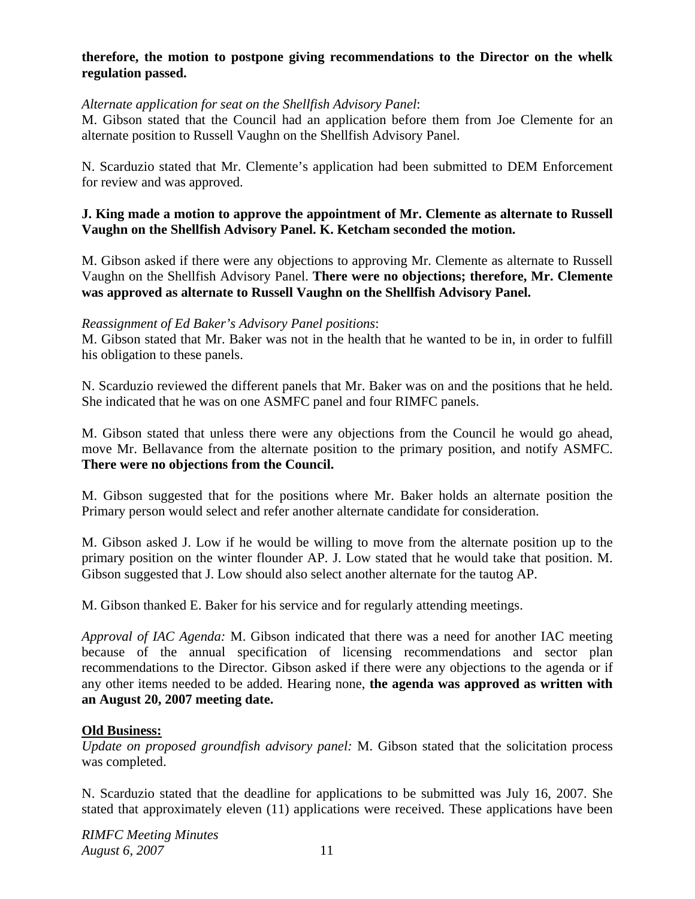### **therefore, the motion to postpone giving recommendations to the Director on the whelk regulation passed.**

#### *Alternate application for seat on the Shellfish Advisory Panel*:

M. Gibson stated that the Council had an application before them from Joe Clemente for an alternate position to Russell Vaughn on the Shellfish Advisory Panel.

N. Scarduzio stated that Mr. Clemente's application had been submitted to DEM Enforcement for review and was approved.

#### **J. King made a motion to approve the appointment of Mr. Clemente as alternate to Russell Vaughn on the Shellfish Advisory Panel. K. Ketcham seconded the motion.**

M. Gibson asked if there were any objections to approving Mr. Clemente as alternate to Russell Vaughn on the Shellfish Advisory Panel. **There were no objections; therefore, Mr. Clemente was approved as alternate to Russell Vaughn on the Shellfish Advisory Panel.**

#### *Reassignment of Ed Baker's Advisory Panel positions*:

M. Gibson stated that Mr. Baker was not in the health that he wanted to be in, in order to fulfill his obligation to these panels.

N. Scarduzio reviewed the different panels that Mr. Baker was on and the positions that he held. She indicated that he was on one ASMFC panel and four RIMFC panels.

M. Gibson stated that unless there were any objections from the Council he would go ahead, move Mr. Bellavance from the alternate position to the primary position, and notify ASMFC. **There were no objections from the Council.**

M. Gibson suggested that for the positions where Mr. Baker holds an alternate position the Primary person would select and refer another alternate candidate for consideration.

M. Gibson asked J. Low if he would be willing to move from the alternate position up to the primary position on the winter flounder AP. J. Low stated that he would take that position. M. Gibson suggested that J. Low should also select another alternate for the tautog AP.

M. Gibson thanked E. Baker for his service and for regularly attending meetings.

*Approval of IAC Agenda:* M. Gibson indicated that there was a need for another IAC meeting because of the annual specification of licensing recommendations and sector plan recommendations to the Director. Gibson asked if there were any objections to the agenda or if any other items needed to be added. Hearing none, **the agenda was approved as written with an August 20, 2007 meeting date.**

#### **Old Business:**

*Update on proposed groundfish advisory panel:* M. Gibson stated that the solicitation process was completed.

N. Scarduzio stated that the deadline for applications to be submitted was July 16, 2007. She stated that approximately eleven (11) applications were received. These applications have been

*RIMFC Meeting Minutes August 6, 2007* 11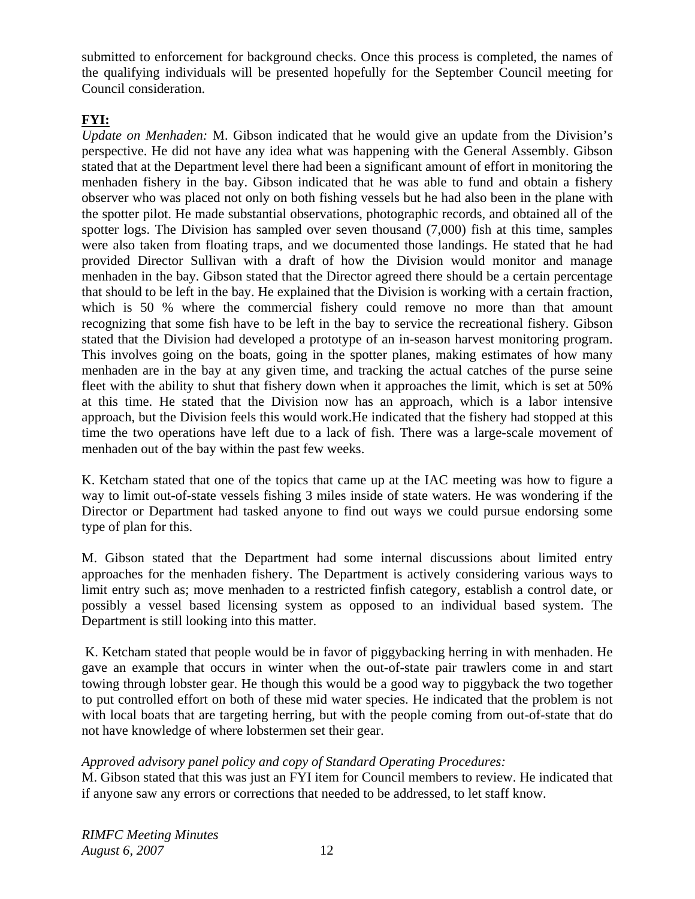submitted to enforcement for background checks. Once this process is completed, the names of the qualifying individuals will be presented hopefully for the September Council meeting for Council consideration.

# **FYI:**

*Update on Menhaden:* M. Gibson indicated that he would give an update from the Division's perspective. He did not have any idea what was happening with the General Assembly. Gibson stated that at the Department level there had been a significant amount of effort in monitoring the menhaden fishery in the bay. Gibson indicated that he was able to fund and obtain a fishery observer who was placed not only on both fishing vessels but he had also been in the plane with the spotter pilot. He made substantial observations, photographic records, and obtained all of the spotter logs. The Division has sampled over seven thousand (7,000) fish at this time, samples were also taken from floating traps, and we documented those landings. He stated that he had provided Director Sullivan with a draft of how the Division would monitor and manage menhaden in the bay. Gibson stated that the Director agreed there should be a certain percentage that should to be left in the bay. He explained that the Division is working with a certain fraction, which is 50 % where the commercial fishery could remove no more than that amount recognizing that some fish have to be left in the bay to service the recreational fishery. Gibson stated that the Division had developed a prototype of an in-season harvest monitoring program. This involves going on the boats, going in the spotter planes, making estimates of how many menhaden are in the bay at any given time, and tracking the actual catches of the purse seine fleet with the ability to shut that fishery down when it approaches the limit, which is set at 50% at this time. He stated that the Division now has an approach, which is a labor intensive approach, but the Division feels this would work.He indicated that the fishery had stopped at this time the two operations have left due to a lack of fish. There was a large-scale movement of menhaden out of the bay within the past few weeks.

K. Ketcham stated that one of the topics that came up at the IAC meeting was how to figure a way to limit out-of-state vessels fishing 3 miles inside of state waters. He was wondering if the Director or Department had tasked anyone to find out ways we could pursue endorsing some type of plan for this.

M. Gibson stated that the Department had some internal discussions about limited entry approaches for the menhaden fishery. The Department is actively considering various ways to limit entry such as; move menhaden to a restricted finfish category, establish a control date, or possibly a vessel based licensing system as opposed to an individual based system. The Department is still looking into this matter.

 K. Ketcham stated that people would be in favor of piggybacking herring in with menhaden. He gave an example that occurs in winter when the out-of-state pair trawlers come in and start towing through lobster gear. He though this would be a good way to piggyback the two together to put controlled effort on both of these mid water species. He indicated that the problem is not with local boats that are targeting herring, but with the people coming from out-of-state that do not have knowledge of where lobstermen set their gear.

## *Approved advisory panel policy and copy of Standard Operating Procedures:*

M. Gibson stated that this was just an FYI item for Council members to review. He indicated that if anyone saw any errors or corrections that needed to be addressed, to let staff know.